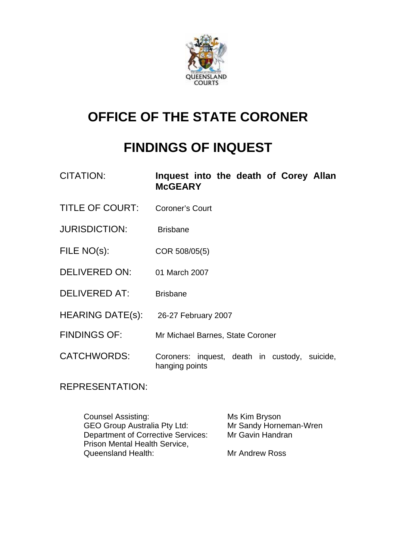

# **OFFICE OF THE STATE CORONER**

# **FINDINGS OF INQUEST**

| <b>CITATION:</b> | Inquest into the death of Corey Allan<br><b>McGEARY</b> |  |  |
|------------------|---------------------------------------------------------|--|--|
|                  |                                                         |  |  |

- TITLE OF COURT: Coroner's Court
- JURISDICTION: Brisbane
- FILE NO(s): COR 508/05(5)
- DELIVERED ON: 01 March 2007
- DELIVERED AT: Brisbane
- HEARING DATE(s): 26-27 February 2007
- FINDINGS OF: Mr Michael Barnes, State Coroner
- CATCHWORDS: Coroners: inquest, death in custody, suicide, hanging points

REPRESENTATION:

Counsel Assisting: Ms Kim Bryson GEO Group Australia Pty Ltd:<br>
Department of Corrective Services: Mr Gavin Handran Department of Corrective Services: Prison Mental Health Service, Queensland Health: Mr Andrew Ross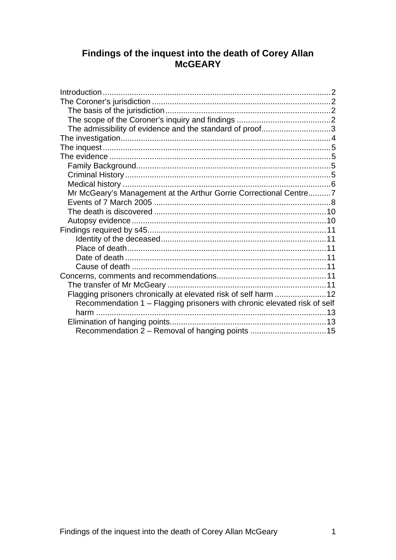# Findings of the inquest into the death of Corey Allan<br>McGEARY

| The admissibility of evidence and the standard of proof3                 |  |
|--------------------------------------------------------------------------|--|
|                                                                          |  |
|                                                                          |  |
|                                                                          |  |
|                                                                          |  |
|                                                                          |  |
|                                                                          |  |
| Mr McGeary's Management at the Arthur Gorrie Correctional Centre7        |  |
|                                                                          |  |
|                                                                          |  |
|                                                                          |  |
|                                                                          |  |
|                                                                          |  |
|                                                                          |  |
|                                                                          |  |
|                                                                          |  |
|                                                                          |  |
|                                                                          |  |
| Flagging prisoners chronically at elevated risk of self harm 12          |  |
| Recommendation 1 - Flagging prisoners with chronic elevated risk of self |  |
|                                                                          |  |
|                                                                          |  |
| Recommendation 2 - Removal of hanging points 15                          |  |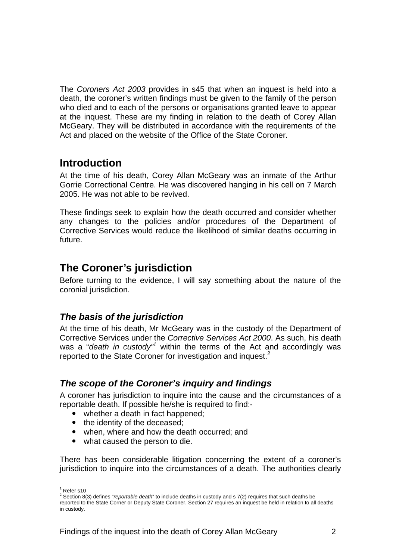The *Coroners Act 2003* provides in s45 that when an inquest is held into a death, the coroner's written findings must be given to the family of the person who died and to each of the persons or organisations granted leave to appear at the inquest. These are my finding in relation to the death of Corey Allan McGeary. They will be distributed in accordance with the requirements of the Act and placed on the website of the Office of the State Coroner.

### **Introduction**

At the time of his death, Corey Allan McGeary was an inmate of the Arthur Gorrie Correctional Centre. He was discovered hanging in his cell on 7 March 2005. He was not able to be revived.

These findings seek to explain how the death occurred and consider whether any changes to the policies and/or procedures of the Department of Corrective Services would reduce the likelihood of similar deaths occurring in future.

# **The Coroner's jurisdiction**

Before turning to the evidence, I will say something about the nature of the coronial jurisdiction.

#### *The basis of the jurisdiction*

At the time of his death, Mr McGeary was in the custody of the Department of Corrective Services under the *Corrective Services Act 2000*. As such, his death was a "*death in custody"*<sup>1</sup> within the terms of the Act and accordingly was reported to the State Coroner for investigation and inquest.<sup>2</sup>

#### *The scope of the Coroner's inquiry and findings*

A coroner has jurisdiction to inquire into the cause and the circumstances of a reportable death. If possible he/she is required to find:-

- whether a death in fact happened;
- the identity of the deceased:
- when, where and how the death occurred; and
- what caused the person to die.

There has been considerable litigation concerning the extent of a coroner's jurisdiction to inquire into the circumstances of a death. The authorities clearly

l

 $1$  Refer s10

<sup>2</sup> Section 8(3) defines "*reportable death*" to include deaths in custody and s 7(2) requires that such deaths be reported to the State Corner or Deputy State Coroner. Section 27 requires an inquest be held in relation to all deaths in custody.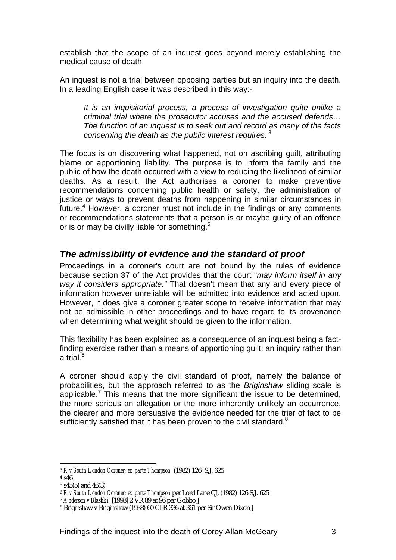establish that the scope of an inquest goes beyond merely establishing the medical cause of death.

An inquest is not a trial between opposing parties but an inquiry into the death. In a leading English case it was described in this way:-

*It is an inquisitorial process, a process of investigation quite unlike a criminal trial where the prosecutor accuses and the accused defends… The function of an inquest is to seek out and record as many of the facts concerning the death as the public interest requires.*<sup>3</sup>

The focus is on discovering what happened, not on ascribing guilt, attributing blame or apportioning liability. The purpose is to inform the family and the public of how the death occurred with a view to reducing the likelihood of similar deaths. As a result, the Act authorises a coroner to make preventive recommendations concerning public health or safety, the administration of justice or ways to prevent deaths from happening in similar circumstances in future.<sup>4</sup> However, a coroner must not include in the findings or any comments or recommendations statements that a person is or maybe guilty of an offence or is or may be civilly liable for something.<sup>5</sup>

#### *The admissibility of evidence and the standard of proof*

Proceedings in a coroner's court are not bound by the rules of evidence because section 37 of the Act provides that the court "*may inform itself in any way it considers appropriate."* That doesn't mean that any and every piece of information however unreliable will be admitted into evidence and acted upon. However, it does give a coroner greater scope to receive information that may not be admissible in other proceedings and to have regard to its provenance when determining what weight should be given to the information.

This flexibility has been explained as a consequence of an inquest being a factfinding exercise rather than a means of apportioning guilt: an inquiry rather than a trial.<sup>6</sup>

A coroner should apply the civil standard of proof, namely the balance of probabilities, but the approach referred to as the *Briginshaw* sliding scale is applicable.<sup>7</sup> This means that the more significant the issue to be determined, the more serious an allegation or the more inherently unlikely an occurrence, the clearer and more persuasive the evidence needed for the trier of fact to be sufficiently satisfied that it has been proven to the civil standard. $8$ 

l <sup>3</sup> *R v South London Coroner; ex parte Thompson* (1982) 126 S.J. 625

<sup>4</sup> s46

 $5 \text{ s45}(5)$  and  $46(3)$ 

<sup>6</sup> *R v South London Coroner; ex parte Thompson* per Lord Lane CJ, (1982) 126 S.J. 625

<sup>7</sup> *Anderson v Blashki* [1993] 2 VR 89 at 96 per Gobbo J

<sup>8</sup> Briginshaw v Briginshaw (1938) 60 CLR 336 at 361 per Sir Owen Dixon J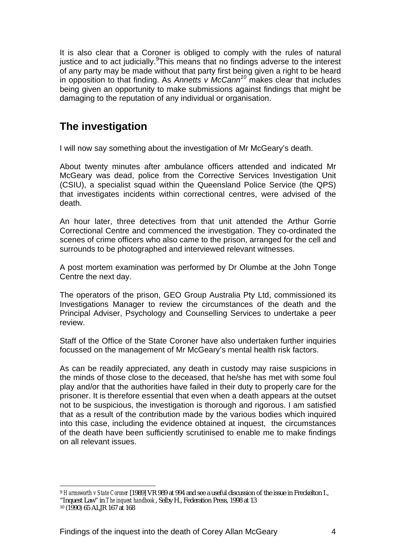It is also clear that a Coroner is obliged to comply with the rules of natural justice and to act judicially. This means that no findings adverse to the interest of any party may be made without that party first being given a right to be heard in opposition to that finding. As *Annetts v McCann<sup>10</sup>* makes clear that includes being given an opportunity to make submissions against findings that might be damaging to the reputation of any individual or organisation.

# **The investigation**

I will now say something about the investigation of Mr McGeary's death.

About twenty minutes after ambulance officers attended and indicated Mr McGeary was dead, police from the Corrective Services Investigation Unit (CSIU), a specialist squad within the Queensland Police Service (the QPS) that investigates incidents within correctional centres, were advised of the death.

An hour later, three detectives from that unit attended the Arthur Gorrie Correctional Centre and commenced the investigation. They co-ordinated the scenes of crime officers who also came to the prison, arranged for the cell and surrounds to be photographed and interviewed relevant witnesses.

A post mortem examination was performed by Dr Olumbe at the John Tonge Centre the next day.

The operators of the prison, GEO Group Australia Pty Ltd, commissioned its Investigations Manager to review the circumstances of the death and the Principal Adviser, Psychology and Counselling Services to undertake a peer review.

Staff of the Office of the State Coroner have also undertaken further inquiries focussed on the management of Mr McGeary's mental health risk factors.

As can be readily appreciated, any death in custody may raise suspicions in the minds of those close to the deceased, that he/she has met with some foul play and/or that the authorities have failed in their duty to properly care for the prisoner. It is therefore essential that even when a death appears at the outset not to be suspicious, the investigation is thorough and rigorous. I am satisfied that as a result of the contribution made by the various bodies which inquired into this case, including the evidence obtained at inquest, the circumstances of the death have been sufficiently scrutinised to enable me to make findings on all relevant issues.

l <sup>9</sup> *Harmsworth v State Coroner* [1989] VR 989 at 994 and see a useful discussion of the issue in Freckelton I.,

<sup>&</sup>quot;Inquest Law" in *The inquest handbook*, Selby H., Federation Press, 1998 at 13

<sup>10 (1990) 65</sup> ALJR 167 at 168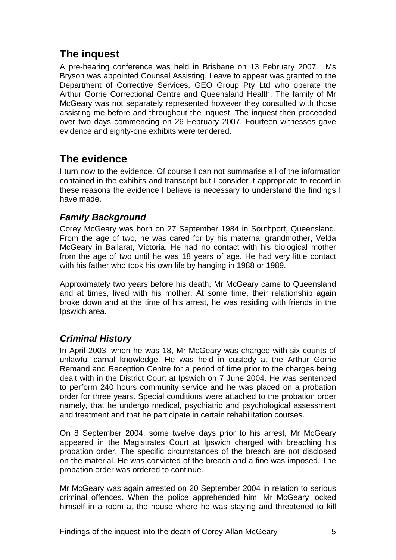# **The inquest**

A pre-hearing conference was held in Brisbane on 13 February 2007. Ms Bryson was appointed Counsel Assisting. Leave to appear was granted to the Department of Corrective Services, GEO Group Pty Ltd who operate the Arthur Gorrie Correctional Centre and Queensland Health. The family of Mr McGeary was not separately represented however they consulted with those assisting me before and throughout the inquest. The inquest then proceeded over two days commencing on 26 February 2007. Fourteen witnesses gave evidence and eighty-one exhibits were tendered.

# **The evidence**

I turn now to the evidence. Of course I can not summarise all of the information contained in the exhibits and transcript but I consider it appropriate to record in these reasons the evidence I believe is necessary to understand the findings I have made.

#### *Family Background*

Corey McGeary was born on 27 September 1984 in Southport, Queensland. From the age of two, he was cared for by his maternal grandmother, Velda McGeary in Ballarat, Victoria. He had no contact with his biological mother from the age of two until he was 18 years of age. He had very little contact with his father who took his own life by hanging in 1988 or 1989.

Approximately two years before his death, Mr McGeary came to Queensland and at times, lived with his mother. At some time, their relationship again broke down and at the time of his arrest, he was residing with friends in the Ipswich area.

#### *Criminal History*

In April 2003, when he was 18, Mr McGeary was charged with six counts of unlawful carnal knowledge. He was held in custody at the Arthur Gorrie Remand and Reception Centre for a period of time prior to the charges being dealt with in the District Court at Ipswich on 7 June 2004. He was sentenced to perform 240 hours community service and he was placed on a probation order for three years. Special conditions were attached to the probation order namely, that he undergo medical, psychiatric and psychological assessment and treatment and that he participate in certain rehabilitation courses.

On 8 September 2004, some twelve days prior to his arrest, Mr McGeary appeared in the Magistrates Court at Ipswich charged with breaching his probation order. The specific circumstances of the breach are not disclosed on the material. He was convicted of the breach and a fine was imposed. The probation order was ordered to continue.

Mr McGeary was again arrested on 20 September 2004 in relation to serious criminal offences. When the police apprehended him, Mr McGeary locked himself in a room at the house where he was staying and threatened to kill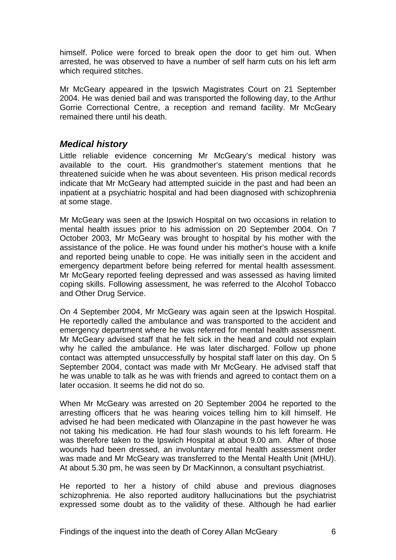himself. Police were forced to break open the door to get him out. When arrested, he was observed to have a number of self harm cuts on his left arm which required stitches.

Mr McGeary appeared in the Ipswich Magistrates Court on 21 September 2004. He was denied bail and was transported the following day, to the Arthur Gorrie Correctional Centre, a reception and remand facility. Mr McGeary remained there until his death.

#### *Medical history*

Little reliable evidence concerning Mr McGeary's medical history was available to the court. His grandmother's statement mentions that he threatened suicide when he was about seventeen. His prison medical records indicate that Mr McGeary had attempted suicide in the past and had been an inpatient at a psychiatric hospital and had been diagnosed with schizophrenia at some stage.

Mr McGeary was seen at the Ipswich Hospital on two occasions in relation to mental health issues prior to his admission on 20 September 2004. On 7 October 2003, Mr McGeary was brought to hospital by his mother with the assistance of the police. He was found under his mother's house with a knife and reported being unable to cope. He was initially seen in the accident and emergency department before being referred for mental health assessment. Mr McGeary reported feeling depressed and was assessed as having limited coping skills. Following assessment, he was referred to the Alcohol Tobacco and Other Drug Service.

On 4 September 2004, Mr McGeary was again seen at the Ipswich Hospital. He reportedly called the ambulance and was transported to the accident and emergency department where he was referred for mental health assessment. Mr McGeary advised staff that he felt sick in the head and could not explain why he called the ambulance. He was later discharged. Follow up phone contact was attempted unsuccessfully by hospital staff later on this day. On 5 September 2004, contact was made with Mr McGeary. He advised staff that he was unable to talk as he was with friends and agreed to contact them on a later occasion. It seems he did not do so.

When Mr McGeary was arrested on 20 September 2004 he reported to the arresting officers that he was hearing voices telling him to kill himself. He advised he had been medicated with Olanzapine in the past however he was not taking his medication. He had four slash wounds to his left forearm. He was therefore taken to the Ipswich Hospital at about 9.00 am. After of those wounds had been dressed, an involuntary mental health assessment order was made and Mr McGeary was transferred to the Mental Health Unit (MHU). At about 5.30 pm, he was seen by Dr MacKinnon, a consultant psychiatrist.

He reported to her a history of child abuse and previous diagnoses schizophrenia. He also reported auditory hallucinations but the psychiatrist expressed some doubt as to the validity of these. Although he had earlier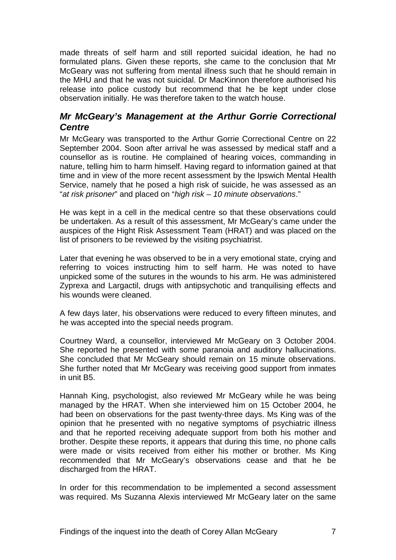made threats of self harm and still reported suicidal ideation, he had no formulated plans. Given these reports, she came to the conclusion that Mr McGeary was not suffering from mental illness such that he should remain in the MHU and that he was not suicidal. Dr MacKinnon therefore authorised his release into police custody but recommend that he be kept under close observation initially. He was therefore taken to the watch house.

#### *Mr McGeary's Management at the Arthur Gorrie Correctional Centre*

Mr McGeary was transported to the Arthur Gorrie Correctional Centre on 22 September 2004. Soon after arrival he was assessed by medical staff and a counsellor as is routine. He complained of hearing voices, commanding in nature, telling him to harm himself. Having regard to information gained at that time and in view of the more recent assessment by the Ipswich Mental Health Service, namely that he posed a high risk of suicide, he was assessed as an "*at risk prisoner*" and placed on "*high risk – 10 minute observations*."

He was kept in a cell in the medical centre so that these observations could be undertaken. As a result of this assessment, Mr McGeary's came under the auspices of the Hight Risk Assessment Team (HRAT) and was placed on the list of prisoners to be reviewed by the visiting psychiatrist.

Later that evening he was observed to be in a very emotional state, crying and referring to voices instructing him to self harm. He was noted to have unpicked some of the sutures in the wounds to his arm. He was administered Zyprexa and Largactil, drugs with antipsychotic and tranquilising effects and his wounds were cleaned.

A few days later, his observations were reduced to every fifteen minutes, and he was accepted into the special needs program.

Courtney Ward, a counsellor, interviewed Mr McGeary on 3 October 2004. She reported he presented with some paranoia and auditory hallucinations. She concluded that Mr McGeary should remain on 15 minute observations. She further noted that Mr McGeary was receiving good support from inmates in unit B5.

Hannah King, psychologist, also reviewed Mr McGeary while he was being managed by the HRAT. When she interviewed him on 15 October 2004, he had been on observations for the past twenty-three days. Ms King was of the opinion that he presented with no negative symptoms of psychiatric illness and that he reported receiving adequate support from both his mother and brother. Despite these reports, it appears that during this time, no phone calls were made or visits received from either his mother or brother. Ms King recommended that Mr McGeary's observations cease and that he be discharged from the HRAT.

In order for this recommendation to be implemented a second assessment was required. Ms Suzanna Alexis interviewed Mr McGeary later on the same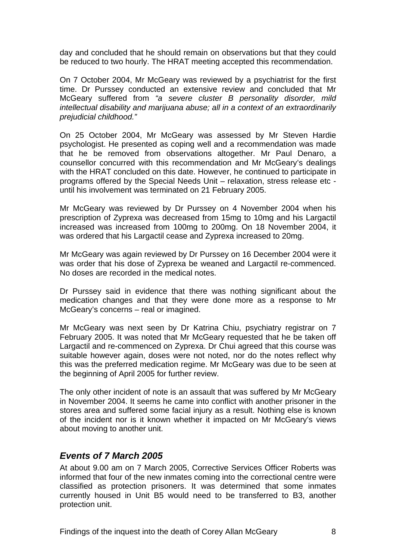day and concluded that he should remain on observations but that they could be reduced to two hourly. The HRAT meeting accepted this recommendation.

On 7 October 2004, Mr McGeary was reviewed by a psychiatrist for the first time. Dr Purssey conducted an extensive review and concluded that Mr McGeary suffered from *"a severe cluster B personality disorder, mild intellectual disability and marijuana abuse; all in a context of an extraordinarily prejudicial childhood."* 

On 25 October 2004, Mr McGeary was assessed by Mr Steven Hardie psychologist. He presented as coping well and a recommendation was made that he be removed from observations altogether. Mr Paul Denaro, a counsellor concurred with this recommendation and Mr McGeary's dealings with the HRAT concluded on this date. However, he continued to participate in programs offered by the Special Needs Unit – relaxation, stress release etc until his involvement was terminated on 21 February 2005.

Mr McGeary was reviewed by Dr Purssey on 4 November 2004 when his prescription of Zyprexa was decreased from 15mg to 10mg and his Largactil increased was increased from 100mg to 200mg. On 18 November 2004, it was ordered that his Largactil cease and Zyprexa increased to 20mg.

Mr McGeary was again reviewed by Dr Purssey on 16 December 2004 were it was order that his dose of Zyprexa be weaned and Largactil re-commenced. No doses are recorded in the medical notes.

Dr Purssey said in evidence that there was nothing significant about the medication changes and that they were done more as a response to Mr McGeary's concerns – real or imagined.

Mr McGeary was next seen by Dr Katrina Chiu, psychiatry registrar on 7 February 2005. It was noted that Mr McGeary requested that he be taken off Largactil and re-commenced on Zyprexa. Dr Chui agreed that this course was suitable however again, doses were not noted, nor do the notes reflect why this was the preferred medication regime. Mr McGeary was due to be seen at the beginning of April 2005 for further review.

The only other incident of note is an assault that was suffered by Mr McGeary in November 2004. It seems he came into conflict with another prisoner in the stores area and suffered some facial injury as a result. Nothing else is known of the incident nor is it known whether it impacted on Mr McGeary's views about moving to another unit.

#### *Events of 7 March 2005*

At about 9.00 am on 7 March 2005, Corrective Services Officer Roberts was informed that four of the new inmates coming into the correctional centre were classified as protection prisoners. It was determined that some inmates currently housed in Unit B5 would need to be transferred to B3, another protection unit.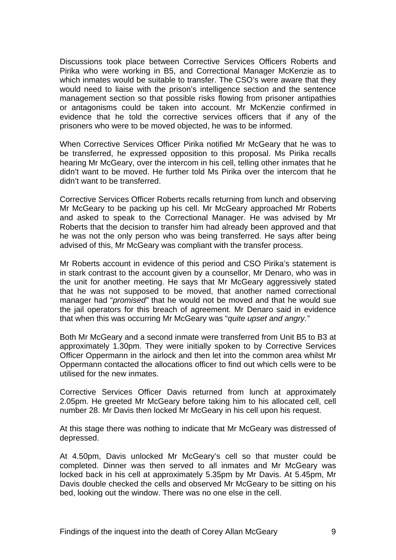Discussions took place between Corrective Services Officers Roberts and Pirika who were working in B5, and Correctional Manager McKenzie as to which inmates would be suitable to transfer. The CSO's were aware that they would need to liaise with the prison's intelligence section and the sentence management section so that possible risks flowing from prisoner antipathies or antagonisms could be taken into account. Mr McKenzie confirmed in evidence that he told the corrective services officers that if any of the prisoners who were to be moved objected, he was to be informed.

When Corrective Services Officer Pirika notified Mr McGeary that he was to be transferred, he expressed opposition to this proposal. Ms Pirika recalls hearing Mr McGeary, over the intercom in his cell, telling other inmates that he didn't want to be moved. He further told Ms Pirika over the intercom that he didn't want to be transferred.

Corrective Services Officer Roberts recalls returning from lunch and observing Mr McGeary to be packing up his cell. Mr McGeary approached Mr Roberts and asked to speak to the Correctional Manager. He was advised by Mr Roberts that the decision to transfer him had already been approved and that he was not the only person who was being transferred. He says after being advised of this, Mr McGeary was compliant with the transfer process.

Mr Roberts account in evidence of this period and CSO Pirika's statement is in stark contrast to the account given by a counsellor, Mr Denaro, who was in the unit for another meeting. He says that Mr McGeary aggressively stated that he was not supposed to be moved, that another named correctional manager had "*promised"* that he would not be moved and that he would sue the jail operators for this breach of agreement. Mr Denaro said in evidence that when this was occurring Mr McGeary was "*quite upset and angry."* 

Both Mr McGeary and a second inmate were transferred from Unit B5 to B3 at approximately 1.30pm. They were initially spoken to by Corrective Services Officer Oppermann in the airlock and then let into the common area whilst Mr Oppermann contacted the allocations officer to find out which cells were to be utilised for the new inmates.

Corrective Services Officer Davis returned from lunch at approximately 2.05pm. He greeted Mr McGeary before taking him to his allocated cell, cell number 28. Mr Davis then locked Mr McGeary in his cell upon his request.

At this stage there was nothing to indicate that Mr McGeary was distressed of depressed.

At 4.50pm, Davis unlocked Mr McGeary's cell so that muster could be completed. Dinner was then served to all inmates and Mr McGeary was locked back in his cell at approximately 5.35pm by Mr Davis. At 5.45pm, Mr Davis double checked the cells and observed Mr McGeary to be sitting on his bed, looking out the window. There was no one else in the cell.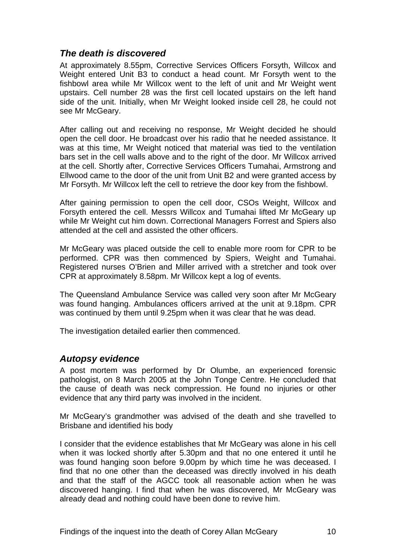#### *The death is discovered*

At approximately 8.55pm, Corrective Services Officers Forsyth, Willcox and Weight entered Unit B3 to conduct a head count. Mr Forsyth went to the fishbowl area while Mr Willcox went to the left of unit and Mr Weight went upstairs. Cell number 28 was the first cell located upstairs on the left hand side of the unit. Initially, when Mr Weight looked inside cell 28, he could not see Mr McGeary.

After calling out and receiving no response, Mr Weight decided he should open the cell door. He broadcast over his radio that he needed assistance. It was at this time, Mr Weight noticed that material was tied to the ventilation bars set in the cell walls above and to the right of the door. Mr Willcox arrived at the cell. Shortly after, Corrective Services Officers Tumahai, Armstrong and Ellwood came to the door of the unit from Unit B2 and were granted access by Mr Forsyth. Mr Willcox left the cell to retrieve the door key from the fishbowl.

After gaining permission to open the cell door, CSOs Weight, Willcox and Forsyth entered the cell. Messrs Willcox and Tumahai lifted Mr McGeary up while Mr Weight cut him down. Correctional Managers Forrest and Spiers also attended at the cell and assisted the other officers.

Mr McGeary was placed outside the cell to enable more room for CPR to be performed. CPR was then commenced by Spiers, Weight and Tumahai. Registered nurses O'Brien and Miller arrived with a stretcher and took over CPR at approximately 8.58pm. Mr Willcox kept a log of events.

The Queensland Ambulance Service was called very soon after Mr McGeary was found hanging. Ambulances officers arrived at the unit at 9.18pm. CPR was continued by them until 9.25pm when it was clear that he was dead.

The investigation detailed earlier then commenced.

#### *Autopsy evidence*

A post mortem was performed by Dr Olumbe, an experienced forensic pathologist, on 8 March 2005 at the John Tonge Centre. He concluded that the cause of death was neck compression. He found no injuries or other evidence that any third party was involved in the incident.

Mr McGeary's grandmother was advised of the death and she travelled to Brisbane and identified his body

I consider that the evidence establishes that Mr McGeary was alone in his cell when it was locked shortly after 5.30pm and that no one entered it until he was found hanging soon before 9.00pm by which time he was deceased. I find that no one other than the deceased was directly involved in his death and that the staff of the AGCC took all reasonable action when he was discovered hanging. I find that when he was discovered, Mr McGeary was already dead and nothing could have been done to revive him.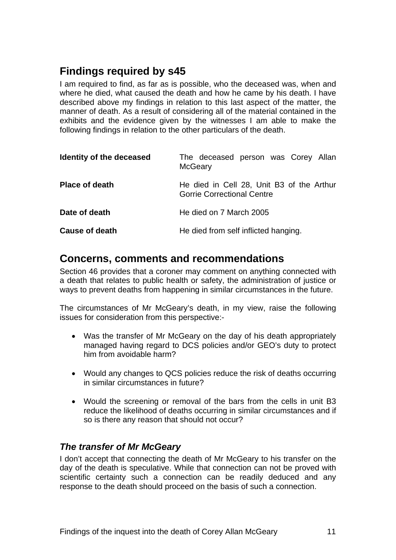# **Findings required by s45**

I am required to find, as far as is possible, who the deceased was, when and where he died, what caused the death and how he came by his death. I have described above my findings in relation to this last aspect of the matter, the manner of death. As a result of considering all of the material contained in the exhibits and the evidence given by the witnesses I am able to make the following findings in relation to the other particulars of the death.

| Identity of the deceased | The deceased person was Corey Allan<br><b>McGeary</b>                          |  |
|--------------------------|--------------------------------------------------------------------------------|--|
| <b>Place of death</b>    | He died in Cell 28, Unit B3 of the Arthur<br><b>Gorrie Correctional Centre</b> |  |
| Date of death            | He died on 7 March 2005                                                        |  |
| <b>Cause of death</b>    | He died from self inflicted hanging.                                           |  |

#### **Concerns, comments and recommendations**

Section 46 provides that a coroner may comment on anything connected with a death that relates to public health or safety, the administration of justice or ways to prevent deaths from happening in similar circumstances in the future.

The circumstances of Mr McGeary's death, in my view, raise the following issues for consideration from this perspective:-

- Was the transfer of Mr McGeary on the day of his death appropriately managed having regard to DCS policies and/or GEO's duty to protect him from avoidable harm?
- Would any changes to QCS policies reduce the risk of deaths occurring in similar circumstances in future?
- Would the screening or removal of the bars from the cells in unit B3 reduce the likelihood of deaths occurring in similar circumstances and if so is there any reason that should not occur?

#### *The transfer of Mr McGeary*

I don't accept that connecting the death of Mr McGeary to his transfer on the day of the death is speculative. While that connection can not be proved with scientific certainty such a connection can be readily deduced and any response to the death should proceed on the basis of such a connection.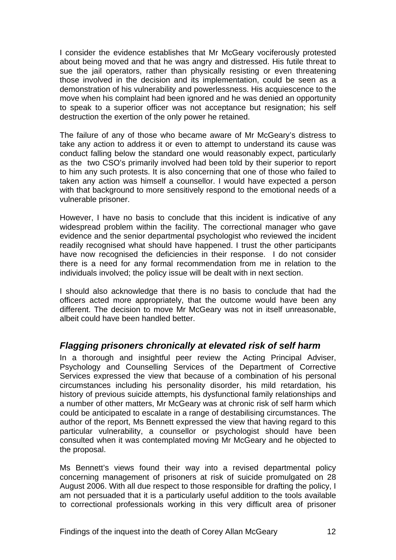I consider the evidence establishes that Mr McGeary vociferously protested about being moved and that he was angry and distressed. His futile threat to sue the jail operators, rather than physically resisting or even threatening those involved in the decision and its implementation, could be seen as a demonstration of his vulnerability and powerlessness. His acquiescence to the move when his complaint had been ignored and he was denied an opportunity to speak to a superior officer was not acceptance but resignation; his self destruction the exertion of the only power he retained.

The failure of any of those who became aware of Mr McGeary's distress to take any action to address it or even to attempt to understand its cause was conduct falling below the standard one would reasonably expect, particularly as the two CSO's primarily involved had been told by their superior to report to him any such protests. It is also concerning that one of those who failed to taken any action was himself a counsellor. I would have expected a person with that background to more sensitively respond to the emotional needs of a vulnerable prisoner.

However, I have no basis to conclude that this incident is indicative of any widespread problem within the facility. The correctional manager who gave evidence and the senior departmental psychologist who reviewed the incident readily recognised what should have happened. I trust the other participants have now recognised the deficiencies in their response. I do not consider there is a need for any formal recommendation from me in relation to the individuals involved; the policy issue will be dealt with in next section.

I should also acknowledge that there is no basis to conclude that had the officers acted more appropriately, that the outcome would have been any different. The decision to move Mr McGeary was not in itself unreasonable, albeit could have been handled better.

#### *Flagging prisoners chronically at elevated risk of self harm*

In a thorough and insightful peer review the Acting Principal Adviser, Psychology and Counselling Services of the Department of Corrective Services expressed the view that because of a combination of his personal circumstances including his personality disorder, his mild retardation, his history of previous suicide attempts, his dysfunctional family relationships and a number of other matters, Mr McGeary was at chronic risk of self harm which could be anticipated to escalate in a range of destabilising circumstances. The author of the report, Ms Bennett expressed the view that having regard to this particular vulnerability, a counsellor or psychologist should have been consulted when it was contemplated moving Mr McGeary and he objected to the proposal.

Ms Bennett's views found their way into a revised departmental policy concerning management of prisoners at risk of suicide promulgated on 28 August 2006. With all due respect to those responsible for drafting the policy, I am not persuaded that it is a particularly useful addition to the tools available to correctional professionals working in this very difficult area of prisoner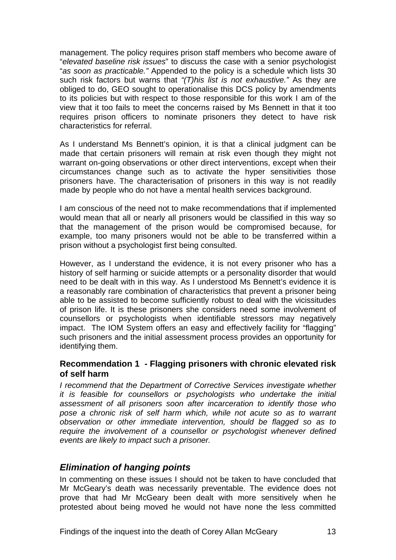management. The policy requires prison staff members who become aware of "*elevated baseline risk issues*" to discuss the case with a senior psychologist "*as soon as practicable."* Appended to the policy is a schedule which lists 30 such risk factors but warns that *"(T)his list is not exhaustive."* As they are obliged to do, GEO sought to operationalise this DCS policy by amendments to its policies but with respect to those responsible for this work I am of the view that it too fails to meet the concerns raised by Ms Bennett in that it too requires prison officers to nominate prisoners they detect to have risk characteristics for referral.

As I understand Ms Bennett's opinion, it is that a clinical judgment can be made that certain prisoners will remain at risk even though they might not warrant on-going observations or other direct interventions, except when their circumstances change such as to activate the hyper sensitivities those prisoners have. The characterisation of prisoners in this way is not readily made by people who do not have a mental health services background.

I am conscious of the need not to make recommendations that if implemented would mean that all or nearly all prisoners would be classified in this way so that the management of the prison would be compromised because, for example, too many prisoners would not be able to be transferred within a prison without a psychologist first being consulted.

However, as I understand the evidence, it is not every prisoner who has a history of self harming or suicide attempts or a personality disorder that would need to be dealt with in this way. As I understood Ms Bennett's evidence it is a reasonably rare combination of characteristics that prevent a prisoner being able to be assisted to become sufficiently robust to deal with the vicissitudes of prison life. It is these prisoners she considers need some involvement of counsellors or psychologists when identifiable stressors may negatively impact. The IOM System offers an easy and effectively facility for "flagging" such prisoners and the initial assessment process provides an opportunity for identifying them.

#### **Recommendation 1 - Flagging prisoners with chronic elevated risk of self harm**

*I recommend that the Department of Corrective Services investigate whether it is feasible for counsellors or psychologists who undertake the initial assessment of all prisoners soon after incarceration to identify those who pose a chronic risk of self harm which, while not acute so as to warrant observation or other immediate intervention, should be flagged so as to require the involvement of a counsellor or psychologist whenever defined events are likely to impact such a prisoner.* 

#### *Elimination of hanging points*

In commenting on these issues I should not be taken to have concluded that Mr McGeary's death was necessarily preventable. The evidence does not prove that had Mr McGeary been dealt with more sensitively when he protested about being moved he would not have none the less committed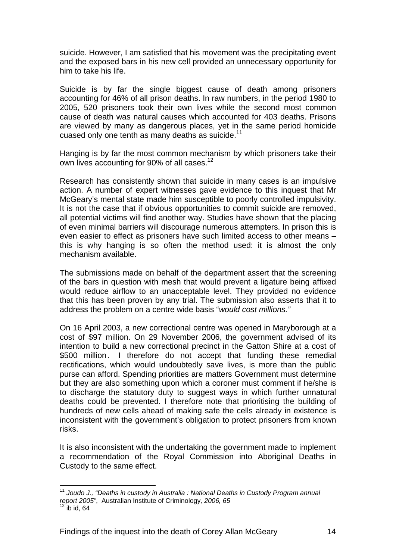suicide. However, I am satisfied that his movement was the precipitating event and the exposed bars in his new cell provided an unnecessary opportunity for him to take his life.

Suicide is by far the single biggest cause of death among prisoners accounting for 46% of all prison deaths. In raw numbers, in the period 1980 to 2005, 520 prisoners took their own lives while the second most common cause of death was natural causes which accounted for 403 deaths. Prisons are viewed by many as dangerous places, yet in the same period homicide cuased only one tenth as many deaths as suicide.<sup>11</sup>

Hanging is by far the most common mechanism by which prisoners take their own lives accounting for 90% of all cases.<sup>12</sup>

Research has consistently shown that suicide in many cases is an impulsive action. A number of expert witnesses gave evidence to this inquest that Mr McGeary's mental state made him susceptible to poorly controlled impulsivity. It is not the case that if obvious opportunities to commit suicide are removed, all potential victims will find another way. Studies have shown that the placing of even minimal barriers will discourage numerous attempters. In prison this is even easier to effect as prisoners have such limited access to other means – this is why hanging is so often the method used: it is almost the only mechanism available.

The submissions made on behalf of the department assert that the screening of the bars in question with mesh that would prevent a ligature being affixed would reduce airflow to an unacceptable level. They provided no evidence that this has been proven by any trial. The submission also asserts that it to address the problem on a centre wide basis "*would cost millions."*

On 16 April 2003, a new correctional centre was opened in Maryborough at a cost of \$97 million. On 29 November 2006, the government advised of its intention to build a new correctional precinct in the Gatton Shire at a cost of \$500 million. I therefore do not accept that funding these remedial rectifications, which would undoubtedly save lives, is more than the public purse can afford. Spending priorities are matters Government must determine but they are also something upon which a coroner must comment if he/she is to discharge the statutory duty to suggest ways in which further unnatural deaths could be prevented. I therefore note that prioritising the building of hundreds of new cells ahead of making safe the cells already in existence is inconsistent with the government's obligation to protect prisoners from known risks.

It is also inconsistent with the undertaking the government made to implement a recommendation of the Royal Commission into Aboriginal Deaths in Custody to the same effect.

l

<sup>11</sup> *Joudo J., "Deaths in custody in Australia : National Deaths in Custody Program annual report 2005"*, Australian Institute of Criminology*, 2006, 65*

 $12^{12}$  ib id, 64